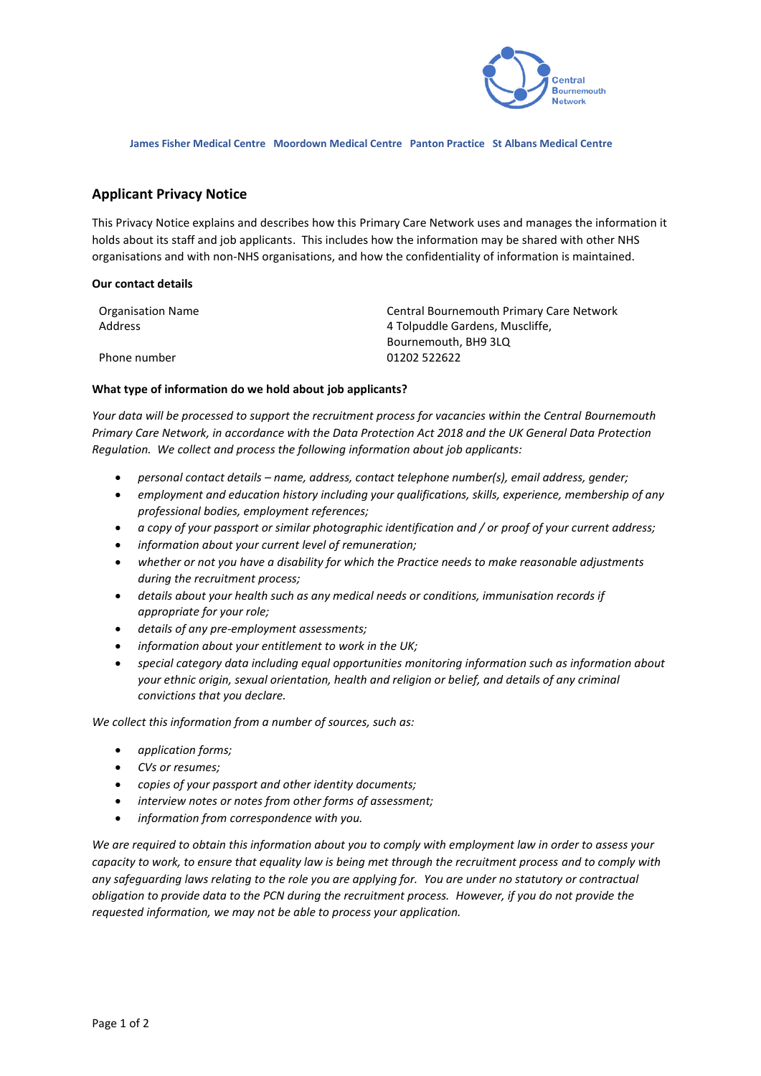

**James Fisher Medical Centre Moordown Medical Centre Panton Practice St Albans Medical Centre**

## **Applicant Privacy Notice**

This Privacy Notice explains and describes how this Primary Care Network uses and manages the information it holds about its staff and job applicants. This includes how the information may be shared with other NHS organisations and with non-NHS organisations, and how the confidentiality of information is maintained.

## **Our contact details**

| Organisation Name | Central Bournemouth Primary Care Network                |
|-------------------|---------------------------------------------------------|
| Address           | 4 Tolpuddle Gardens, Muscliffe,<br>Bournemouth, BH9 3LQ |
| Phone number      | 01202 522622                                            |

## **What type of information do we hold about job applicants?**

*Your data will be processed to support the recruitment process for vacancies within the Central Bournemouth Primary Care Network, in accordance with the Data Protection Act 2018 and the UK General Data Protection Regulation. We collect and process the following information about job applicants:*

- *personal contact details – name, address, contact telephone number(s), email address, gender;*
- *employment and education history including your qualifications, skills, experience, membership of any professional bodies, employment references;*
- *a copy of your passport or similar photographic identification and / or proof of your current address;*
- *information about your current level of remuneration;*
- *whether or not you have a disability for which the Practice needs to make reasonable adjustments during the recruitment process;*
- *details about your health such as any medical needs or conditions, immunisation records if appropriate for your role;*
- *details of any pre-employment assessments;*
- *information about your entitlement to work in the UK;*
- *special category data including equal opportunities monitoring information such as information about your ethnic origin, sexual orientation, health and religion or belief, and details of any criminal convictions that you declare.*

*We collect this information from a number of sources, such as:*

- *application forms;*
- *CVs or resumes;*
- *copies of your passport and other identity documents;*
- *interview notes or notes from other forms of assessment;*
- *information from correspondence with you.*

*We are required to obtain this information about you to comply with employment law in order to assess your capacity to work, to ensure that equality law is being met through the recruitment process and to comply with any safeguarding laws relating to the role you are applying for. You are under no statutory or contractual obligation to provide data to the PCN during the recruitment process. However, if you do not provide the requested information, we may not be able to process your application.*